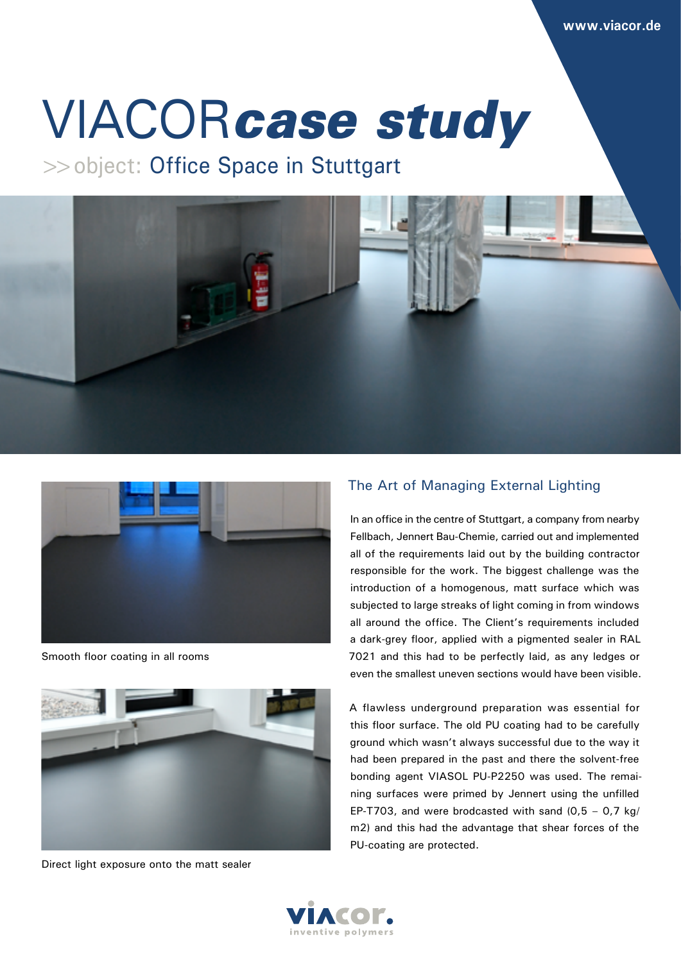# VIACOR*case study*

>>object: Office Space in Stuttgart





Smooth floor coating in all rooms



Direct light exposure onto the matt sealer

## The Art of Managing External Lighting

In an office in the centre of Stuttgart, a company from nearby Fellbach, Jennert Bau-Chemie, carried out and implemented all of the requirements laid out by the building contractor responsible for the work. The biggest challenge was the introduction of a homogenous, matt surface which was subjected to large streaks of light coming in from windows all around the office. The Client's requirements included a dark-grey floor, applied with a pigmented sealer in RAL 7021 and this had to be perfectly laid, as any ledges or even the smallest uneven sections would have been visible.

A flawless underground preparation was essential for this floor surface. The old PU coating had to be carefully ground which wasn't always successful due to the way it had been prepared in the past and there the solvent-free bonding agent VIASOL PU-P2250 was used. The remaining surfaces were primed by Jennert using the unfilled EP-T703, and were brodcasted with sand  $(0.5 - 0.7 \text{ kg})$ m2) and this had the advantage that shear forces of the PU-coating are protected.